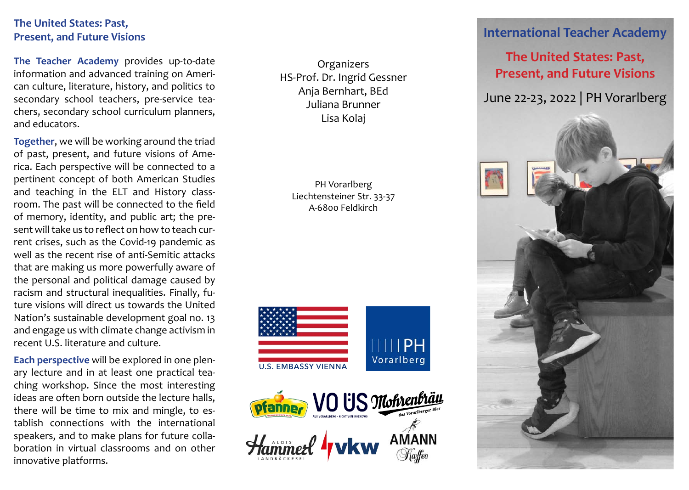### **The United States: Past, Present, and Future Visions**

**The Teacher Academy** provides up-to-date information and advanced training on American culture, literature, history, and politics to secondary school teachers, pre-service teachers, secondary school curriculum planners, and educators.

**Together**, we will be working around the triad of past, present, and future visions of America. Each perspective will be connected to a pertinent concept of both American Studies and teaching in the ELT and History classroom. The past will be connected to the field of memory, identity, and public art; the present will take us to reflect on how to teach current crises, such as the Covid-19 pandemic as well as the recent rise of anti-Semitic attacks that are making us more powerfully aware of the personal and political damage caused by racism and structural inequalities. Finally, future visions will direct us towards the United Nation's sustainable development goal no. 13 and engage us with climate change activism in recent U.S. literature and culture.

**Each perspective** will be explored in one plenary lecture and in at least one practical teaching workshop. Since the most interesting ideas are often born outside the lecture halls, there will be time to mix and mingle, to establish connections with the international speakers, and to make plans for future collaboration in virtual classrooms and on other innovative platforms.

**Organizers** HS-Prof. Dr. Ingrid Gessner Anja Bernhart, BEd Juliana Brunner Lisa Kolaj

PH Vorarlberg Liechtensteiner Str. 33-37 A-6800 Feldkirch





## **International Teacher Academy**

# **The United States: Past, Present, and Future Visions**

June 22-23, 2022 | PH Vorarlberg